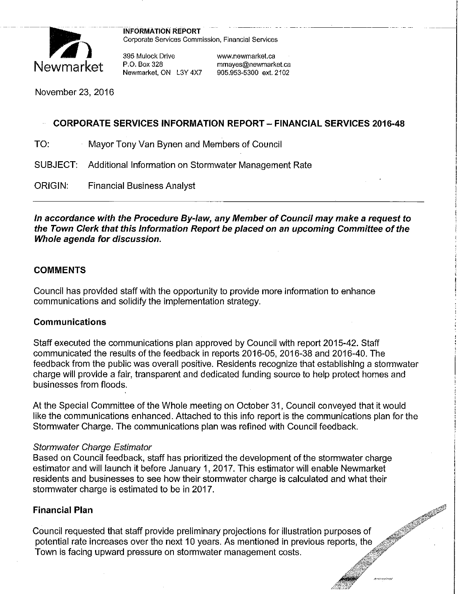

INFORMATION REPORT<br>Corporate Services Commission, Financial Services

395 Mulock Drive www.newmarket.ca Newmarket, ON L3Y 4X7

P.O. Box 328 mmayes@newmarket.ca<br>Newmarket. ON L3Y 4X7 905.953-5300 ext. 2102

November 23, 2016

## **CORPORATE SERVICES INFORMATION REPORT- FINANCIAL SERVICES 2016-48**

TO: Mayor Tony Van Bynen and Members of Council

SUBJECT: Additional Information on Stormwater Management Rate

ORIGIN: Financial Business Analyst

**In accordance with the Procedure By-law, any Member of Council may make a request to the Town Clerk that this Information Report be placed on an upcoming Committee of the Whole agenda for discussion.** 

#### **COMMENTS**

Council has provided staff with the opportunity to provide more information to enhance communications and solidify the implementation strategy.

#### **Communications**

Staff executed the communications plan approved by Council with report 2015-42. Staff communicated the results of the feedback in reports 2016-05, 2016-38 and 2016-40. The feedback from the public was overall positive. Residents recognize that establishing a stormwater charge will provide a fair, transparent and dedicated funding source to help protect homes and businesses from floods.

At the Special Committee of the Whole meeting on October 31, Council conveyed that it would like the communications enhanced. Attached to this info report is the communications plan for the Stormwater Charge. The communications plan was refined with Council feedback.

#### Stormwater Charge Estimator

Based on Council feedback, staff has prioritized the development of the stormwater charge estimator and will launch it before January 1, 2017. This estimator will enable Newmarket residents and businesses to see how their stormwater charge is calculated and what their stormwater charge is estimated to be in 2017.

#### **Financial Plan**

Council requested that staff provide preliminary projections for illustration purposes of potential rate increases over the next 10 years. As mentioned in previous reports, the Town is facing upward pressure on stormwater management costs.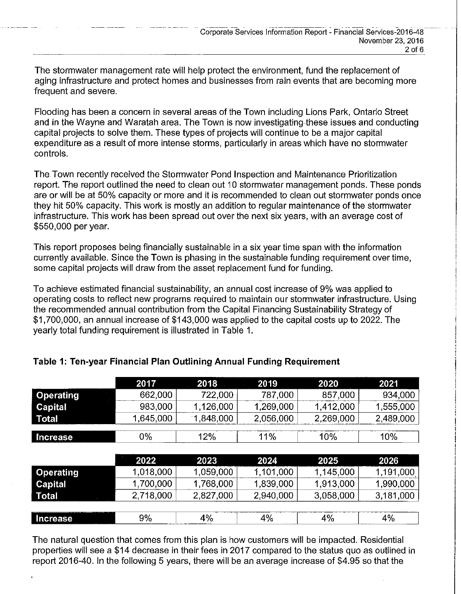The stormwater management rate will help protect the environment, fund the replacement of aging infrastructure and protect homes and businesses from rain events that are becoming more frequent and severe.

Flooding has been a concern in several areas of the Town including Lions Park, Ontario Street and in the Wayne and Waratah area. The Town is now investigating-these issues and conducting capital projects to solve them. These types of projects will continue to be a major capital expenditure as a result of more intense storms, particularly in areas which have no stormwater controls.

The Town recently received the Stormwater Pond Inspection and Maintenance Prioritization report. The report outlined the need to clean out 10 stormwater management ponds. These ponds are or will be at 50% capacity or more and it is recommended to clean out stormwater ponds once they hit 50% capacity. This work is mostly an addition to regular maintenance of the stormwater infrastructure. This work has been spread out over the next six years, with an average cost of \$550,000 per year.

This report proposes being financially sustainable in a six year time span with the information currently available. Since the Town is phasing in the sustainable funding requirement over time, some capital projects will draw from the asset replacement fund for funding.

To achieve estimated financial sustainability, an annual cost increase of 9% was applied to operating costs to reflect new programs required to maintain our stormwater infrastructure. Using the recommended annual contribution from the Capital Financing Sustainability Strategy of \$1,700,000, an annual increase of \$143,000 was applied to the capital costs up to 2022. The yearly total funding requirement is illustrated in Table 1.

|                  | 2017      | 2018      | 2019      | 2020      | 2021      |
|------------------|-----------|-----------|-----------|-----------|-----------|
| <b>Operating</b> | 662,000   | 722,000   | 787,000   | 857,000   | 934,000   |
| <b>Capital</b>   | 983,000   | 1,126,000 | 1,269,000 | 1,412,000 | 1,555,000 |
| Total            | 1,645,000 | 1,848,000 | 2,056,000 | 2,269,000 | 2,489,000 |
| Increase         | $0\%$     | 12%       | 11%       | 10%       | 10%       |
|                  |           |           |           |           |           |
|                  |           |           |           |           |           |
|                  | 2022      | 2023      | 2024      | 2025      | 2026      |
| <b>Operating</b> | 1,018,000 | 1,059,000 | 1,101,000 | 1,145,000 | 1,191,000 |
| Capital          | 1,700,000 | 1,768,000 | 1,839,000 | 1,913,000 | 1,990,000 |
| Total            | 2,718,000 | 2,827,000 | 2,940,000 | 3,058,000 | 3,181,000 |
|                  |           |           |           |           |           |

## **Table 1: Ten-year Financial Plan Outlining Annual Funding Requirement**

The natural question that comes from this plan is how customers will be impacted. Residential properties will see a \$14 decrease in their fees in 2017 compared to the status quo as outlined in report 2016-40. In the following 5 years, there will be an average increase of \$4.95 so that the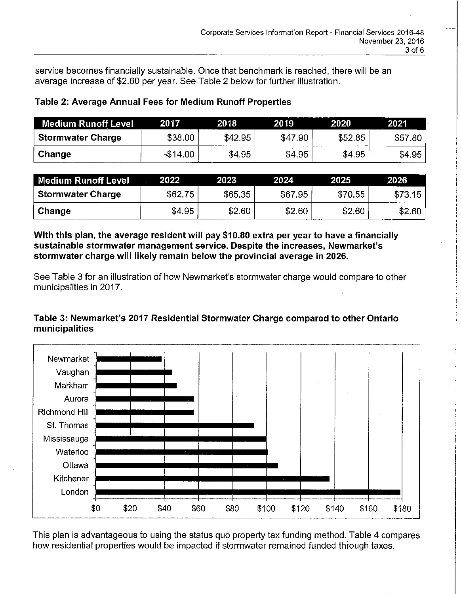service becomes financially sustainable. Once that benchmark is reached, there will be an average increase of \$2.60 per year. See Table 2 below for further illustration.

| Medium Runoff Level      | 2017      | 2018    | 2019    | 2020    | 2021    |
|--------------------------|-----------|---------|---------|---------|---------|
| <b>Stormwater Charge</b> | \$38.00   | \$42.95 | \$47.90 | \$52.85 | \$57.80 |
| Change                   | $-$14.00$ | \$4.95  | \$4.95  | \$4.95  | \$4.95  |

## **Table 2: Average Annual Fees for Medium Runoff Properties**

---- ----------

| Medium Runoff Level      | 2022    | 2023    | 2024    | 2025    | 2026    |
|--------------------------|---------|---------|---------|---------|---------|
| <b>Stormwater Charge</b> | \$62.75 | \$65.35 | \$67.95 | \$70.55 | \$73.15 |
| Change                   | \$4.95  | \$2.60  | \$2.60  | \$2.60  | \$2.60  |

**With this plan, the average resident will pay \$10.80 extra per year to have a financially sustainable stormwater management service. Despite the increases, Newmarket's stormwater charge will likely remain below the provincial average in 2026.** 

See Table 3 for an illustration of how Newmarket's stormwater charge would compare to other municipalities in 2017.

## **Table 3: Newmarket's 2017 Residential Stormwater Charge compared to other Ontario municipalities**



This plan is advantageous to using the status quo property tax funding method. Table 4 compares how residential properties would be impacted if stormwater remained funded through taxes.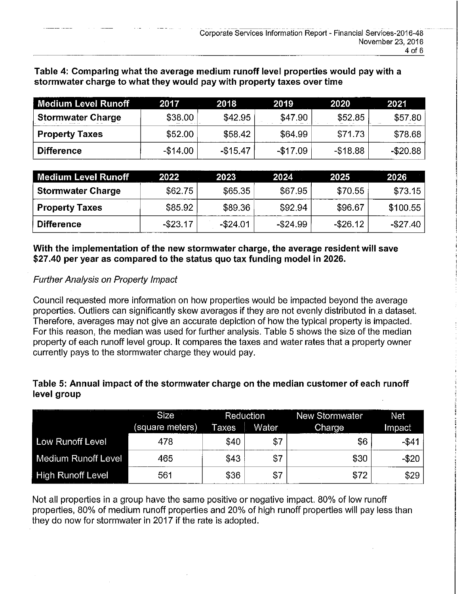| <b>Medium Level Runoff</b> | 2017      | 2018      | 2019      | 2020        | 2021      |
|----------------------------|-----------|-----------|-----------|-------------|-----------|
| <b>Stormwater Charge</b>   | \$38.00   | \$42.95   | \$47.90   | \$52.85     | \$57.80   |
| <b>Property Taxes</b>      | \$52.00   | \$58.42   | \$64.99   | \$71.73     | \$78.68   |
| <b>Difference</b>          | $-$14.00$ | $-$15.47$ | $-117.09$ | $-$ \$18.88 | $-$20.88$ |

**Table 4: Comparing what the average medium runoff level properties would pay with a stormwater charge to what they would pay with property taxes over time** 

| │ Medium Level Runoff    | 2022        | 2023        | 2024        | 2025        | 2026       |
|--------------------------|-------------|-------------|-------------|-------------|------------|
| <b>Stormwater Charge</b> | \$62.75     | \$65.35     | \$67.95     | \$70.55     | \$73.15    |
| <b>Property Taxes</b>    | \$85.92     | \$89.36     | \$92.94     | \$96.67     | \$100.55   |
| ∣ Difference∶            | $-$ \$23.17 | $-$ \$24.01 | $-$ \$24.99 | $-$ \$26.12 | $-\$27.40$ |

## **With the implementation of the new stormwater charge, the average resident will save \$27.40 per year as compared to the status quo tax funding model in 2026.**

## Further Analysis on Property Impact

Council requested more information on how properties would be impacted beyond the average properties. Outliers can significantly skew averages if they are not evenly distributed in a dataset. Therefore, averages may not give an accurate depiction of how the typical property is impacted. For this reason, the median was used for further analysis. Table 5 shows the size of the median property of each runoff level group. It compares the taxes and water rates that a property owner currently pays to the stormwater charge they would pay.

## **Table 5: Annual impact of the stormwater charge on the median customer of each runoff level group**

|                          | <b>Size</b>     | <b>Reduction</b> |       | New Stormwater | Net      |
|--------------------------|-----------------|------------------|-------|----------------|----------|
|                          | (square meters) | Taxes            | Water | Charge         | Impact   |
| Low Runoff Level         | 478             | \$40             | \$7   | \$6            | $-$ \$41 |
| Medium Runoff Level      | 465             | \$43             | \$7   | \$30           | -\$20    |
| <b>High Runoff Level</b> | 561             | \$36             | \$7   | \$72           | \$29     |

Not all properties in a group have the same positive or negative impact. 80% of low runoff properties, 80% of medium runoff properties and 20% of high runoff properties will pay less than they do now for stormwater in 2017 if the rate is adopted.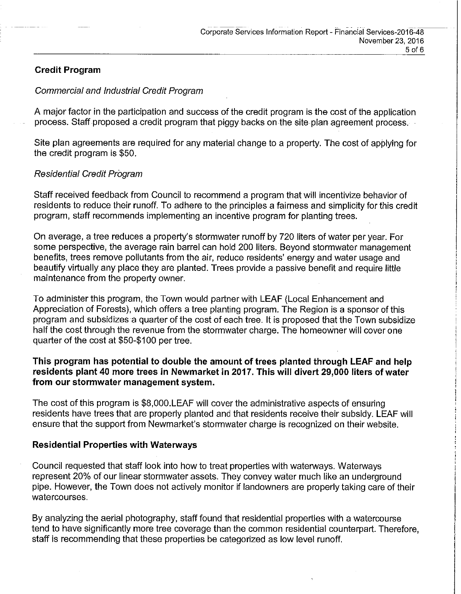## **Credit Program**

#### Commercial and Industrial Credit Program

A major factor in the participation and success of the credit program is the cost of the application process. Staff proposed a credit program that piggy backs on the site-plan agreement process.

Site plan agreements are required for any material change to a property. The cost of applying for the credit program is \$50.

## Residential Credit Program

Staff received feedback from Council to recommend a program that will incentivize behavior of residents to reduce their runoff. To adhere to the principles a fairness and simplicity for this credit program, staff recommends implementing an incentive program for planting trees.

On average, a tree reduces a property's stormwater runoff by 720 liters of water per year. For some perspective, the average rain barrel can hold 200 liters. Beyond stormwater management benefits, trees remove pollutants from the air, reduce residents' energy and water usage and beautify virtually any place they are planted. Trees provide a passive benefit and require little maintenance from the property owner.

To administer this program, the Town would partner with LEAF (Local Enhancement and Appreciation of Forests), which offers a tree planting program. The Region is a sponsor of this program and subsidizes a quarter of the cost of each tree. It is proposed that the Town subsidize half the cost through the revenue from the stormwater charge. The homeowner will cover one quarter of the cost at \$50-\$100 per tree.

## **This program has potential to double the amount of trees planted through LEAF and help residents plant 40 more trees in Newmarket in 2017. This will divert 29,000 liters of water from our stormwater management system.**

The cost of this program is \$8,000.LEAF will cover the administrative aspects of ensuring residents have trees that are properly planted and that residents receive their subsidy. LEAF will ensure that the support from Newmarket's stormwater charge is recognized on their website.

#### **Residential Properties with Waterways**

Council requested that staff look into how to treat properties with waterways. Waterways represent 20% of our linear stormwater assets. They convey water much like an underground pipe. However, the Town does not actively monitor if landowners are properly taking care of their watercourses.

By analyzing the aerial photography, staff found that residential properties with a watercourse tend to have significantly more tree coverage than the common residential counterpart. Therefore, staff is recommending that these properties be categorized as low level runoff.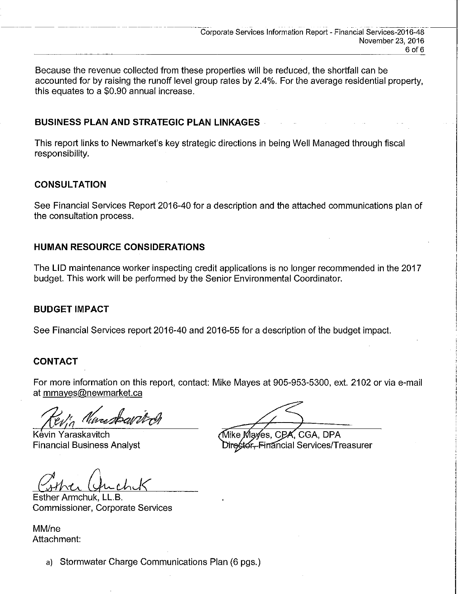Because the revenue collected from these properties will be reduced, the shortfall can be accounted for by raising the runoff level group rates by 2.4%. For the average residential property, this equates to a \$0.90 annual increase.

#### **BUSINESS PLAN AND STRATEGIC PLAN LINKAGES** ·

This report links to Newmarket's key strategic directions in being Well Managed through fiscal responsibility.

## **CONSULTATION**

See Financial Services Report 2016-40 for a description and the attached communications plan of the consultation process.

## **HUMAN RESOURCE CONSIDERATIONS**

The LID maintenance worker inspecting credit applications is no longer recommended in the 2017 budget. This work will be performed by the Senior Environmental Coordinator.

#### **BUDGET IMPACT**

See Financial Services report 2016-40 and 2016-55 for a description of the budget impact.

## **CONTACT**

For more information on this report, contact: Mike Mayes at 905-953-5300, ext. 2102 or via e-mail at mmayes@newmarket.ca

Nincsbarre

Kevin Yaraskavitch Financial Business Analyst

∕Mike Ma√es, CPA, CGA, DPA

Director-Financial Services/Treasurer

Esther Armchuk, **LL.B.**  Commissioner, Corporate Services

MM/ne Attachment:

a) Stormwater Charge Communications Plan (6 pgs.)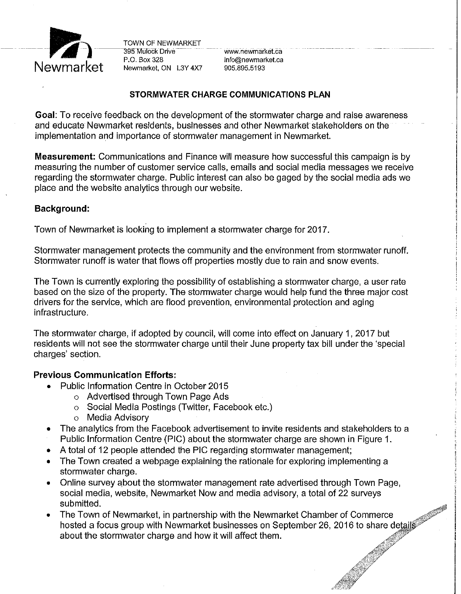

P.O. Box 328 info@newmarket.ca<br>Newmarket. ON L3Y 4X7 905.895.5193

#### **STORMWATER CHARGE COMMUNICATIONS PLAN**

**Goal:** To receive feedback on the development of the stormwater charge and raise awareness and educate Newmarket residents, businesses and other Newmarket stakeholders on the implementation and importance of stormwater management in Newmarket.

**Measurement:** Communications and Finance will measure how successful this campaign is by measuring the number of customer service calls, emails and social media messages we receive regarding the stormwater charge. Public interest can also be gaged by the social media ads we place and the website analytics through our website.

#### **Background:**

Town of Newmarket is looking to implement a stormwater charge for 2017.

Stormwater management protects the community and the environment from stormwater runoff. Stormwater runoff is water that flows off properties mostly due to rain and snow events.

The Town is currently exploring the possibility of establishing a stormwater charge, a user rate based on the size of the property. The stormwater charge would help fund the three major cost drivers for the service, which are flood prevention, environmental protection and aging infrastructure.

The stormwater charge, if adopted by council, will come into effect on January 1, 2017 but residents will not see the stormwater charge until their June property tax bill under the 'special charges' section.

#### **Previous Communication Efforts:**

- Public Information Centre in October 2015
	- o Advertised through Town Page Ads
	- o Social Media Postings (Twitter, Facebook etc.)
	- o Media Advisory
- The analytics from the Facebook advertisement to invite residents and stakeholders to a Public Information Centre (PIC) about the stormwater charge are shown in Figure 1.
- A total of 12 people attended the PIC regarding stormwater management;
- The Town created a webpage explaining the rationale for exploring implementing a stormwater charge.
- Online survey about the stormwater management rate advertised through Town Page, social media, website, Newmarket Now and media advisory, a total of 22 surveys submitted.
- The Town of Newmarket, in partnership with the Newmarket Chamber of Commerce hosted a focus group with Newmarket businesses on September 26, 2016 to share details about the stormwater charge and how it will affect them.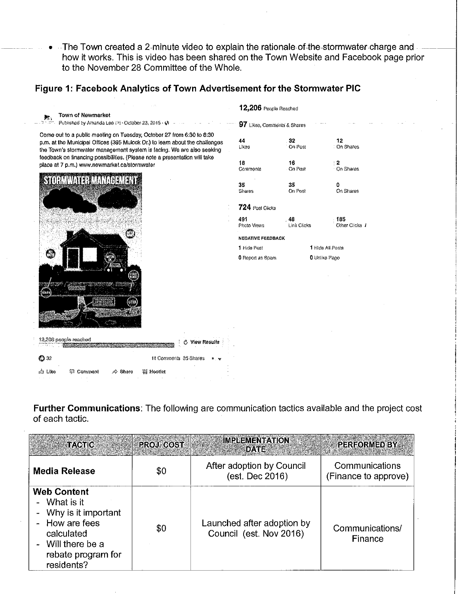• The Town created a 2-minute video to explain the rationale of the stormwater charge and --how it works. This is video has been shared on the Town Website and Facebook page prior to the November 28 Committee of the Whole.

## Figure 1: Facebook Analytics of Town Advertisement for the Stormwater PIC

|                                                                                                                                                                                                                                                                                                               |                       | 12,206 People Reached       |                   |                       |
|---------------------------------------------------------------------------------------------------------------------------------------------------------------------------------------------------------------------------------------------------------------------------------------------------------------|-----------------------|-----------------------------|-------------------|-----------------------|
| <b>Town of Newmarket</b><br>邦.<br>Published by Amanda Lee (?) - October 23, 2015 - @                                                                                                                                                                                                                          |                       | 97 Likes, Comments & Shares |                   |                       |
| Come out to a public meeting on Tuesday, October 27 from 6:30 to 8:30<br>p.m. at the Municipal Offices (395 Mulock Dr.) to learn about the challenges<br>the Town's stormwater management system is facing. We are also seeking<br>feedback on financing possibilities. (Please note a presentation will take |                       | 44<br>Likes                 | 32<br>On Post     | 12<br>On Shares       |
| place at 7 p.m.) www.newmarket.ca/stormwater                                                                                                                                                                                                                                                                  |                       | 18<br>Comments              | 16<br>On Post     | 2<br>On Shares        |
| STORMWATER MANAGEMENT                                                                                                                                                                                                                                                                                         |                       | 35<br>Shares                | 35<br>On Post     | ٥<br>On Shares        |
|                                                                                                                                                                                                                                                                                                               |                       | 724 Post Clicks             |                   |                       |
|                                                                                                                                                                                                                                                                                                               |                       | 491<br>Photo Views          | 48<br>Link Olicks | 185<br>Other Clicks 1 |
|                                                                                                                                                                                                                                                                                                               |                       | <b>NEGATIVE FEEDBACK</b>    |                   |                       |
|                                                                                                                                                                                                                                                                                                               |                       | 1 Hide Post                 |                   | 1 Hide All Posts      |
| ρŵ<br>difficati<br>me                                                                                                                                                                                                                                                                                         |                       | 0 Report as Spam            |                   | 0 Unlike Page         |
| 12,206 people reached                                                                                                                                                                                                                                                                                         | View Results          |                             |                   |                       |
| ❹ 32                                                                                                                                                                                                                                                                                                          | 11 Comments 35 Shares |                             |                   |                       |
| iĝi Like<br>© Comment<br>Share                                                                                                                                                                                                                                                                                | 纂 Hootlet             |                             |                   |                       |

**Further Communications:** The following are communication tactics available and the project cost of each tactic.

| <b>TACTIC</b>                                                                                                                                        | <b>PROJ COST</b> | <b>IMPLEMENTATION</b><br><b>DATE</b>                  | <b>REREORMED BY</b>                    |
|------------------------------------------------------------------------------------------------------------------------------------------------------|------------------|-------------------------------------------------------|----------------------------------------|
| <b>Media Release</b>                                                                                                                                 | \$0              | After adoption by Council<br>(est. Dec 2016)          | Communications<br>(Finance to approve) |
| <b>Web Content</b><br>- What is it<br>- Why is it important<br>- How are fees<br>calculated<br>- Will there be a<br>rebate program for<br>residents? | \$0              | Launched after adoption by<br>Council (est. Nov 2016) | Communications/<br>Finance             |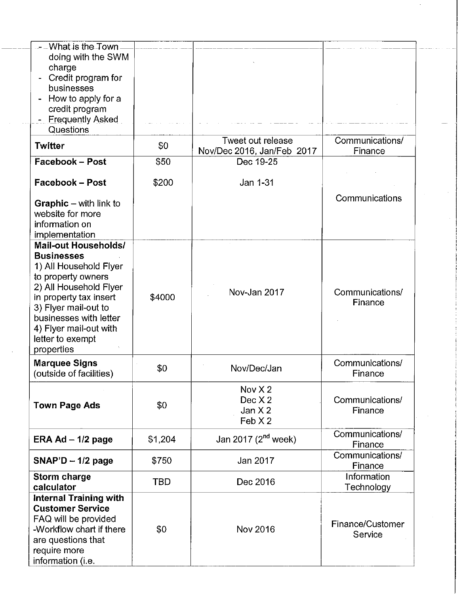| - – What is the Town -<br>doing with the SWM<br>charge<br>Credit program for<br>businesses<br>How to apply for a<br>credit program<br><b>Frequently Asked</b><br>Questions                                                                                         |            |                                                 |                             |
|--------------------------------------------------------------------------------------------------------------------------------------------------------------------------------------------------------------------------------------------------------------------|------------|-------------------------------------------------|-----------------------------|
| Twitter                                                                                                                                                                                                                                                            | \$0        | Tweet out release<br>Nov/Dec 2016, Jan/Feb 2017 | Communications/<br>Finance  |
| <b>Facebook - Post</b>                                                                                                                                                                                                                                             | \$50       | Dec 19-25                                       |                             |
| <b>Facebook – Post</b>                                                                                                                                                                                                                                             | \$200      | Jan 1-31                                        |                             |
| <b>Graphic</b> – with link to<br>website for more<br>information on<br>implementation                                                                                                                                                                              |            |                                                 | Communications              |
| <b>Mail-out Households/</b><br><b>Businesses</b><br>1) All Household Flyer<br>to property owners<br>2) All Household Flyer<br>in property tax insert<br>3) Flyer mail-out to<br>businesses with letter<br>4) Flyer mail-out with<br>letter to exempt<br>properties | \$4000     | Nov-Jan 2017                                    | Communications/<br>Finance  |
| <b>Marquee Signs</b><br>(outside of facilities)                                                                                                                                                                                                                    | \$0        | Nov/Dec/Jan                                     | Communications/<br>Finance  |
| <b>Town Page Ads</b>                                                                                                                                                                                                                                               | \$0        | Nov $X2$<br>Dec X 2<br>Jan $X2$<br>Feb X2       | Communications/<br>Finance  |
| ERA Ad $-$ 1/2 page                                                                                                                                                                                                                                                | \$1,204    | Jan 2017 (2 <sup>nd</sup> week)                 | Communications/<br>Finance  |
| $SNAP'D - 1/2$ page                                                                                                                                                                                                                                                | \$750      | Jan 2017                                        | Communications/<br>Finance  |
| Storm charge<br>calculator                                                                                                                                                                                                                                         | <b>TBD</b> | Dec 2016                                        | Information<br>Technology   |
| <b>Internal Training with</b><br><b>Customer Service</b><br>FAQ will be provided<br>-Workflow chart if there<br>are questions that<br>require more<br>information (i.e.                                                                                            | \$0        | Nov 2016                                        | Finance/Customer<br>Service |

 $\hat{\mathcal{L}}$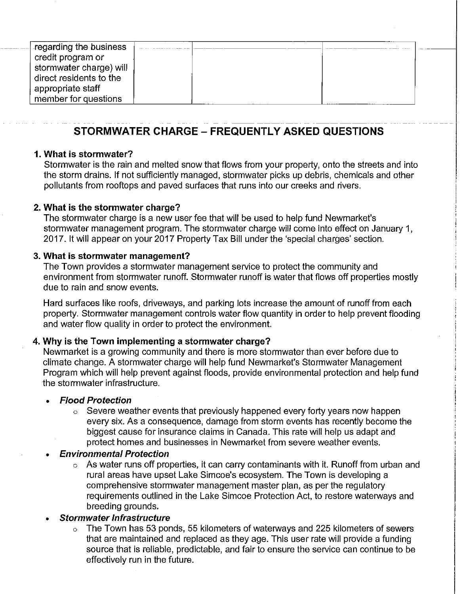| regarding the business  |  |  |
|-------------------------|--|--|
| credit program or       |  |  |
| stormwater charge) will |  |  |
| direct residents to the |  |  |
| appropriate staff       |  |  |
| member for questions    |  |  |

# **STORMWATER CHARGE - FREQUENTLY ASKED QUESTIONS**

#### **1. What is stormwater?**

..

Stormwater is the rain and melted snow that flows from your property, onto the streets and into the storm drains. If not sufficiently managed, stormwater picks up debris, chemicals and other pollutants from rooftops and paved surfaces that runs into our creeks and rivers.

#### **2. What is the stormwater charge?**

The stormwater charge is a new user fee that will be used to help fund Newmarket's stormwater management program. The stormwater charge will come into effect on January 1, 2017. It will appear on your 2017 Property Tax Bill under the 'special charges' section.

#### **3. What is stormwater management?**

The Town provides a stormwater management service to protect the community and environment from stormwater runoff. Stormwater runoff is water that flows off properties mostly due to rain and snow events.

Hard surfaces like roofs, driveways, and parking lots increase the amount of runoff from each property. Stormwater management controls water flow quantity in order to help prevent flooding and water flow quality in order to protect the environment.

#### **4. Why is the Town implementing a stormwater charge?**

Newmarket is a growing community and there is more stormwater than ever before due to climate change. A stormwater charge will help fund Newmarket's Stormwater Management Program which will help prevent against floods, provide environmental protection and help fund the stormwater infrastructure.

#### • **Flood Protection**

 $\circ$  Severe weather events that previously happened every forty years now happen every six. As a consequence, damage from storm events has recently become the biggest cause for insurance claims in Canada. This rate will help us adapt and protect homes and businesses in Newmarket from severe weather events.

#### **Environmental Protection**

 $\circ$  As water runs off properties, it can carry contaminants with it. Runoff from urban and rural areas have upset Lake Simcoe's ecosystem. The Town is developing a comprehensive stormwater management master plan, as per the regulatory requirements outlined in the Lake Simcoe Protection Act, to restore waterways and breeding grounds.

## **Stormwater Infrastructure**

 $\circ$  The Town has 53 ponds, 55 kilometers of waterways and 225 kilometers of sewers that are maintained and replaced as they age. This user rate will provide a funding source that is reliable, predictable, and fair to ensure the service can continue to be effectively run in the future.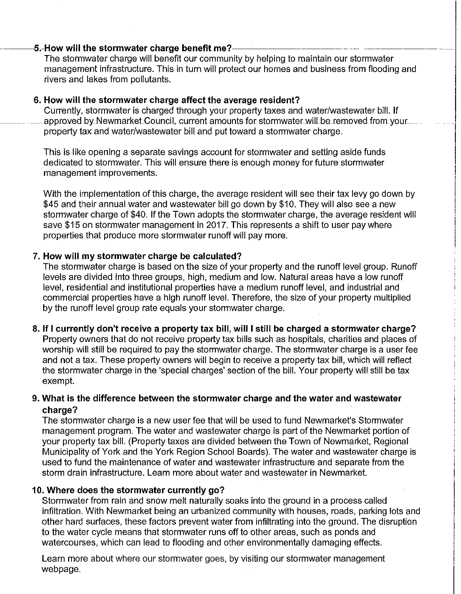#### 5.-How will the stormwater charge benefit me?-

The stormwater charge will benefit our community by helping to maintain our stormwater management infrastructure. This in turn will protect our homes and business from flooding and rivers and lakes from pollutants.

#### **6. How will the stormwater charge affect the average resident?**

Currently, stormwater is charged through your property taxes and water/wastewater bill. If approved by Newmarket Council, current amounts for stormwater will be removed from your property tax and water/wastewater bill and put toward a stormwater charge.

This is like opening a separate savings account for stormwater and setting aside funds dedicated to stormwater. This will ensure there is enough money for future stormwater management improvements.

With the implementation of this charge, the average resident will see their tax levy go down by \$45 and their annual water and wastewater bill go down by \$10. They will also see a new stormwater charge of \$40. If the Town adopts the stormwater charge, the average resident will save \$15 on stormwater management in 2017. This represents a shift to user pay where properties that produce more stormwater runoff will pay more.

#### **7. How will my stormwater charge be calculated?**

The stormwater charge is based on the size of your property and the runoff level group. Runoff levels are divided into three groups, high, medium and low. Natural areas have a low runoff level, residential and institutional properties have a medium runoff level, and industrial and commercial properties have a high runoff level. Therefore, the size of your property multiplied by the runoff level group rate equals your stormwater charge.

#### **8. If I currently don't receive a property tax bill, will I still be charged a stormwater charge?**

Property owners that do not receive property tax bills such as hospitals, charities and places of worship will still be required to pay the stormwater charge. The stormwater charge is a user fee and not a tax. These property owners will begin to receive a property tax bill, which will reflect the stormwater charge in the 'special charges' section of the bill. Your property will still be tax exempt.

## **9. What is the difference between the stormwater charge and the water and wastewater charge?**

The stormwater charge is a new user fee that will be used to fund Newmarket's Stormwater management program. The water and wastewater charge is part of the Newmarket portion of your property tax bill. (Property taxes are divided between the Town of Newmarket, Regional Municipality of York and the York Region School Boards). The water and wastewater charge is used to fund the maintenance of water and wastewater infrastructure and separate from the storm drain infrastructure. Learn more about water and wastewater in Newmarket.

#### **10. Where does the stormwater currently go?**

Stormwater from rain and snow melt naturally soaks into the ground in a process called infiltration. With Newmarket being an urbanized community with houses, roads, parking lots and other hard surfaces, these factors prevent water from infiltrating into the ground. The disruption to the water cycle means that stormwater runs off to other areas, such as ponds and watercourses, which can lead to flooding and other environmentally damaging effects.

Learn more about where our stormwater goes, by visiting our stormwater management webpage.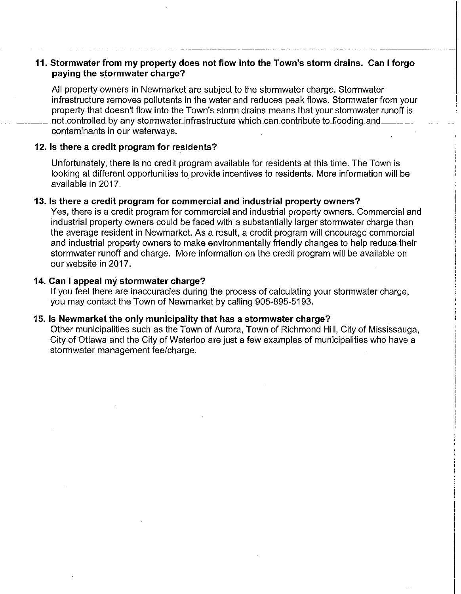#### **11. Stormwater from my property does not flow into the Town's storm drains. Can I forgo paying the stormwater charge?**

All property owners in Newmarket are subject to the stormwater charge. Stormwater infrastructure removes pollutants in the water and reduces peak flows. Stormwater from your property that doesn't flow into the Town's storm drains means that your stormwater runoff is not controlled by any stormwater infrastructure which can contribute to flooding and contaminants in our waterways.

#### 12. Is there a credit program for residents?

----------- ------------------

Unfortunately, there is no credit program available for residents at this time. The Town is looking at different opportunities to provide incentives to residents. More information will be available in 2017.

#### **13. Is there a credit program for commercial and industrial property owners?**

Yes, there is a credit program for commercial and industrial property owners. Commercial and industrial property owners could be faced with a substantially larger stormwater charge than the average resident in Newmarket. As a result, a credit program will encourage commercial and industrial property owners to make environmentally friendly changes to help reduce their stormwater runoff and charge. More information on the credit program will be available on our website in 2017.

#### **14. Can I appeal my stormwater charge?**

If you feel there are inaccuracies during the process of calculating your stormwater charge, you may contact the Town of Newmarket by calling 905-895-5193.

#### **15. Is Newmarket the only municipality that has a stormwater charge?**

Other municipalities such as the Town of Aurora, Town of Richmond Hill, City of Mississauga, City of Ottawa and the City of Waterloo are just a few examples of municipalities who have a stormwater management fee/charge.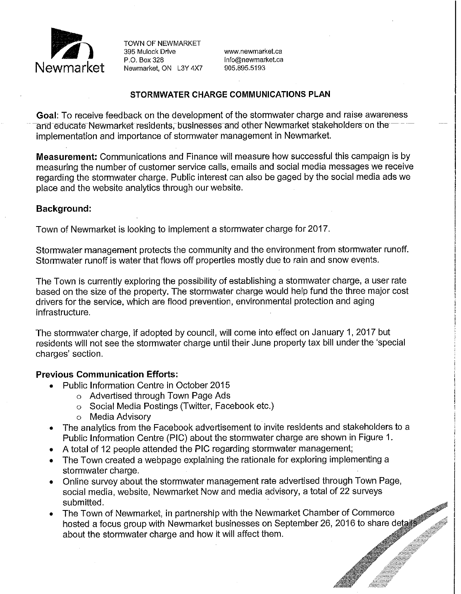

P.O. Box 328 info@newmarket.ca<br>Newmarket. ON L3Y 4X7 905.895.5193

#### **STORMWATER CHARGE COMMUNICATIONS PLAN**

**Goal:** To receive feedback on the development of the stormwater charge and raise awareness and educate Newmarket residents, businesses and other Newmarket stakeholders on the implementation and importance of stormwater management in Newmarket.

**Measurement:** Communications and Finance will measure how successful this campaign is by measuring the number of customer service calls, emails and social media messages we receive regarding the stormwater charge. Public interest can also be gaged by the social media ads we place and the website analytics through our website.

#### **Background:**

Town of Newmarket is looking to implement a stormwater charge for 2017.

Stormwater management protects the community and the environment from stormwater runoff. Stormwater runoff is water that flows off properties mostly due to rain and snow events.

The Town is currently exploring the possibility of establishing a stormwater charge, a user rate based on the size of the property. The stormwater charge would help fund the three major cost drivers for the service, which are flood prevention, environmental protection and aging infrastructure.

The stormwater charge, if adopted by council, will come into effect on January 1, 2017 but residents will not see the stormwater charge until their June property tax bill under the 'special charges' section.

#### **Previous Communication Efforts:**

- Public Information Centre in October 2015
	- o Advertised through Town Page Ads
	- o Social Media Postings (Twitter, Facebook etc.)
	- o Media Advisory
- The analytics from the Facebook advertisement to invite residents and stakeholders to a Public Information Centre (PIC) about the stormwater charge are shown in Figure 1.
- A total of 12 people attended the PIC regarding stormwater management;
- The Town created a webpage explaining the rationale for exploring implementing a stormwater charge.
- Online survey about the stormwater management rate advertised through Town Page, social media, website, Newmarket Now and media advisory, a total of 22 surveys submitted.
- The Town of Newmarket, in partnership with the Newmarket Chamber of Commerce hosted a focus group with Newmarket businesses on September 26, 2016 to share details about the stormwater charge and how it will affect them.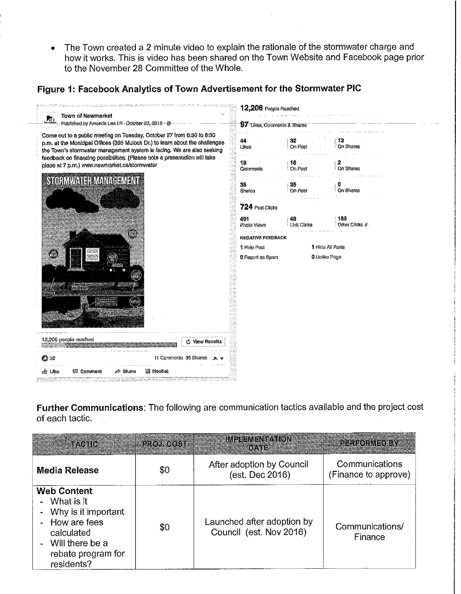• The Town created a 2 minute video to explain the rationale of the stormwater charge and how it works. This is video has been shared on the Town Website and Facebook page prior to the November 28 Committee of the Whole.

# **Figure 1: Facebook Analytics of Town Advertisement for the Stormwater PIC**



**Further Communications:** The following are communication tactics available and the project cost of each tactic.

| TACTIC                                                                                                                                           | PROJ COST | IM PREMENTATION<br>iby.the                            | <b>PERFORMED BY</b>                    |
|--------------------------------------------------------------------------------------------------------------------------------------------------|-----------|-------------------------------------------------------|----------------------------------------|
| Media Release                                                                                                                                    | \$0       | After adoption by Council<br>(est. Dec 2016)          | Communications<br>(Finance to approve) |
| <b>Web Content</b><br>- What is it<br>Why is it important<br>- How are fees<br>calculated<br>Will there be a<br>rebate program for<br>residents? | \$0       | Launched after adoption by<br>Council (est. Nov 2016) | Communications/<br>Finance             |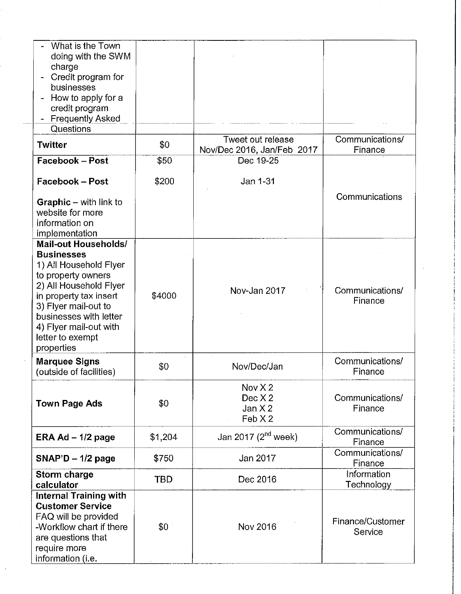| What is the Town<br>doing with the SWM<br>charge<br>Credit program for<br>businesses<br>How to apply for a<br>credit program<br><b>Frequently Asked</b><br>×,<br>Questions                                                                                         |            |                                                 |                             |
|--------------------------------------------------------------------------------------------------------------------------------------------------------------------------------------------------------------------------------------------------------------------|------------|-------------------------------------------------|-----------------------------|
| <b>Twitter</b>                                                                                                                                                                                                                                                     | \$0        | Tweet out release<br>Nov/Dec 2016, Jan/Feb 2017 | Communications/<br>Finance  |
| Facebook - Post                                                                                                                                                                                                                                                    | \$50       | Dec 19-25                                       |                             |
| <b>Facebook-Post</b>                                                                                                                                                                                                                                               | \$200      | Jan 1-31                                        | Communications              |
| <b>Graphic</b> – with link to<br>website for more<br>information on<br>implementation                                                                                                                                                                              |            |                                                 |                             |
| <b>Mail-out Households/</b><br><b>Businesses</b><br>1) All Household Flyer<br>to property owners<br>2) All Household Flyer<br>in property tax insert<br>3) Flyer mail-out to<br>businesses with letter<br>4) Flyer mail-out with<br>letter to exempt<br>properties | \$4000     | Nov-Jan 2017                                    | Communications/<br>Finance  |
| <b>Marquee Signs</b><br>(outside of facilities)                                                                                                                                                                                                                    | \$0        | Nov/Dec/Jan                                     | Communications/<br>Finance  |
| <b>Town Page Ads</b>                                                                                                                                                                                                                                               | \$0        | Nov $X2$<br>Dec X 2<br>Jan $X2$<br>FebX2        | Communications/<br>Finance  |
| ERA Ad $-1/2$ page                                                                                                                                                                                                                                                 | \$1,204    | Jan 2017 (2 <sup>nd</sup> week)                 | Communications/<br>Finance  |
| $SNAP'D - 1/2$ page                                                                                                                                                                                                                                                | \$750      | Jan 2017                                        | Communications/<br>Finance  |
| Storm charge<br>calculator                                                                                                                                                                                                                                         | <b>TBD</b> | Dec 2016                                        | Information<br>Technology   |
| <b>Internal Training with</b><br><b>Customer Service</b><br>FAQ will be provided<br>-Workflow chart if there<br>are questions that<br>require more<br>information (i.e.                                                                                            | \$0        | Nov 2016                                        | Finance/Customer<br>Service |

 $\mathcal{A}^{\mathcal{A}}$ 

 $\frac{1}{2}$ 

 $\sim$   $\sim$ 

 $\mathcal{A}^{\mathcal{A}}$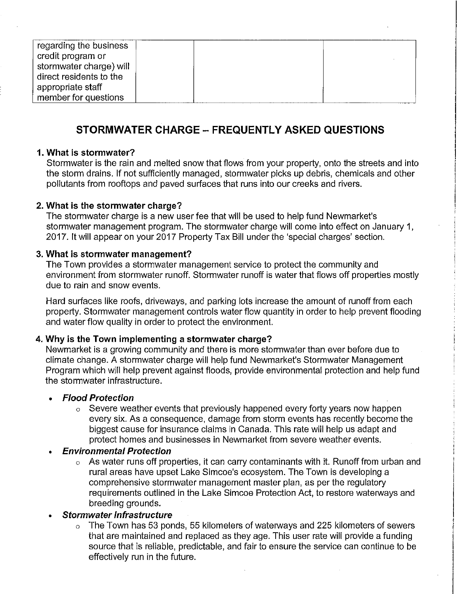| regarding the business  |  |  |  |
|-------------------------|--|--|--|
| credit program or       |  |  |  |
|                         |  |  |  |
| stormwater charge) will |  |  |  |
| direct residents to the |  |  |  |
| appropriate staff       |  |  |  |
| member for questions    |  |  |  |

# **STORMWATER CHARGE - FREQUENTLY ASKED QUESTIONS**

#### **1. What is stormwater?**

Stormwater is the rain and melted snow that flows from your property, onto the streets and into the storm drains. If not sufficiently managed, stormwater picks up debris, chemicals and other pollutants from rooftops and paved surfaces that runs into our creeks and rivers.

#### **2. What is the stormwater charge?**

The stormwater charge is a new user fee that will be used to help fund Newmarket's stormwater management program. The stormwater charge will come into effect on January 1, 2017. It will appear on your 2017 Property Tax Bill under the 'special charges' section.

#### **3. What is stormwater management?**

The Town provides a stormwater management service to protect the community and environment from stormwater runoff. Stormwater runoff is water that flows off properties mostly due to rain and snow events.

Hard surfaces like roofs, driveways, and parking lots increase the amount of runoff from each property. Stormwater management controls water flow quantity in order to help prevent flooding and water flow quality in order to protect the environment.

#### **4. Why is the Town implementing a stormwater charge?**

Newmarket is a growing community and there is more stormwater than ever before due to climate change. A stormwater charge will help fund Newmarket's Stormwater Management Program which will help prevent against floods, provide environmental protection and help fund the stormwater infrastructure.

## **Flood Protection**

 $\circ$  Severe weather events that previously happened every forty years now happen every six. As a consequence, damage from storm events has recently become the biggest cause for insurance claims in Canada. This rate will help us adapt and protect homes and businesses in Newmarket from severe weather events.

#### **Environmental Protection**

 $\circ$  As water runs off properties, it can carry contaminants with it. Runoff from urban and rural areas have upset Lake Simcoe's ecosystem. The Town is developing a comprehensive stormwater management master plan, as per the regulatory requirements outlined in the Lake Simcoe Protection Act, to restore waterways and breeding grounds.

#### **Stormwater Infrastructure**

 $\circ$  The Town has 53 ponds, 55 kilometers of waterways and 225 kilometers of sewers that are maintained and replaced as they age. This user rate will provide a funding source that is reliable, predictable, and fair to ensure the service can continue to be effectively run in the future.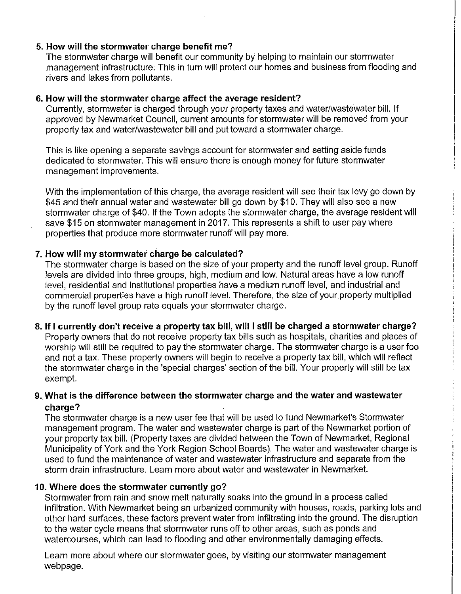## **5. How will the stormwater charge benefit me?**

The stormwater charge will benefit our community by helping to maintain our stormwater management infrastructure. This in turn will protect our homes and business from flooding and rivers and lakes from pollutants.

#### **6. How will the stormwater charge affect the average resident?**

Currently, stormwater is charged through your property taxes and water/wastewater bill. If approved by Newmarket Council, current amounts for stormwater will be removed from your property tax and water/wastewater bill and put toward a stormwater charge.

This is like opening a separate savings account for stormwater and setting aside funds dedicated to stormwater. This will ensure there is enough money for future stormwater management improvements.

With the implementation of this charge, the average resident will see their tax levy go down by \$45 and their annual water and wastewater bill go down by \$10. They will also see a new stormwater charge of \$40. If the Town adopts the stormwater charge, the average resident will save \$15 on stormwater management in 2017. This represents a shift to user pay where properties that produce more stormwater runoff will pay more.

#### **7. How will my stormwater charge be calculated?**

The stormwater charge is based on the size of your property and the runoff level group. Runoff levels are divided into three groups, high, medium and low. Natural areas have a low runoff level, residential and institutional properties have a medium runoff level, and industrial and commercial properties have a high runoff level. Therefore, the size of your property multiplied by the runoff level group rate equals your stormwater charge.

## **8. If I currently don't receive a property tax bill, will I still be charged a stormwater charge?**

Property owners that do not receive property tax bills such as hospitals, charities and places of worship will still be required to pay the stormwater charge. The stormwater charge is a user fee and not a tax. These property owners will begin to receive a property tax bill, which will reflect the stormwater charge in the 'special charges' section of the bill. Your property will still be tax exempt.

## **9. What is the difference between the stormwater charge and the water and wastewater charge?**

The stormwater charge is a new user fee that will be used to fund Newmarket's Stormwater management program. The water and wastewater charge is part of the Newmarket portion of your property tax bill. (Property taxes are divided between the Town of Newmarket, Regional Municipality of York and the York Region School Boards). The water and wastewater charge is used to fund the maintenance of water and wastewater infrastructure and separate from the storm drain infrastructure. Learn more about water and wastewater in Newmarket.

#### **10. Where does the stormwater currently go?**

Stormwater from rain and snow melt naturally soaks into the ground in a process called infiltration. With Newmarket being an urbanized community with houses, roads, parking lots and other hard surfaces, these factors prevent water from infiltrating into the ground. The disruption to the water cycle means that stormwater runs off to other areas, such as ponds and watercourses, which can lead to flooding and other environmentally damaging effects.

Learn more about where our stormwater goes, by visiting our stormwater management webpage.